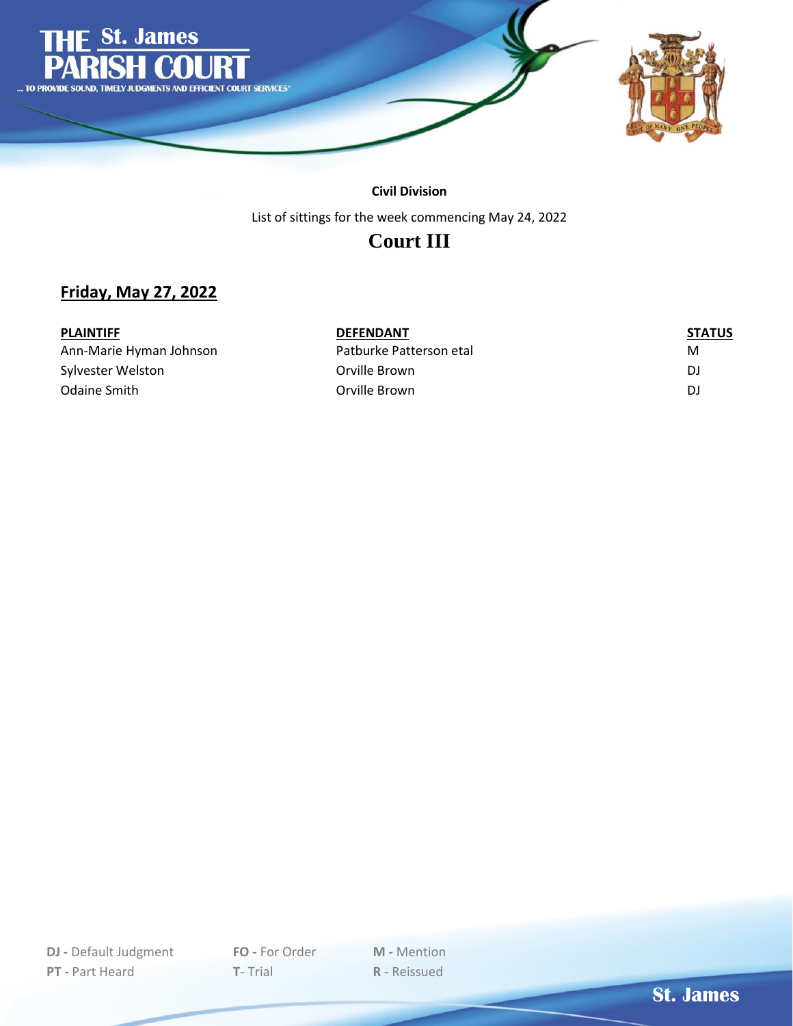

#### **Civil Division**

List of sittings for the week commencing May 24, 2022

## **Court III**

#### **Friday, May 27, 2022**

| <b>PLAINTIFF</b>        | <b>DEFENDANT</b>        | <b>STATUS</b> |
|-------------------------|-------------------------|---------------|
| Ann-Marie Hyman Johnson | Patburke Patterson etal | м             |
| Sylvester Welston       | Orville Brown           | DJ            |
| Odaine Smith            | Orville Brown           | DJ            |